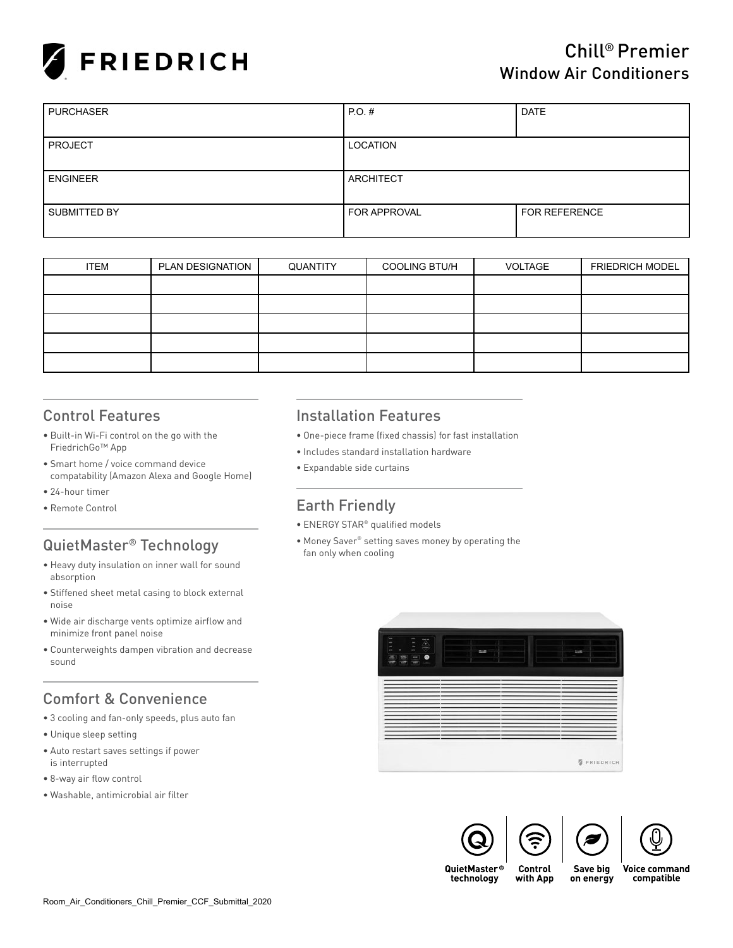

| <b>PURCHASER</b> | $PO.$ #             | <b>DATE</b>   |
|------------------|---------------------|---------------|
|                  |                     |               |
| <b>PROJECT</b>   | LOCATION            |               |
|                  |                     |               |
| I ENGINEER       | ARCHITECT           |               |
|                  |                     |               |
| SUBMITTED BY     | <b>FOR APPROVAL</b> | FOR REFERENCE |
|                  |                     |               |

| <b>ITEM</b> | PLAN DESIGNATION | QUANTITY | <b>COOLING BTU/H</b> | VOLTAGE | <b>FRIEDRICH MODEL</b> |
|-------------|------------------|----------|----------------------|---------|------------------------|
|             |                  |          |                      |         |                        |
|             |                  |          |                      |         |                        |
|             |                  |          |                      |         |                        |
|             |                  |          |                      |         |                        |
|             |                  |          |                      |         |                        |

#### Control Features

- Built-in Wi-Fi control on the go with the FriedrichGo™ App
- Smart home / voice command device compatability (Amazon Alexa and Google Home)
- 24-hour timer
- Remote Control

# QuietMaster® Technology

- Heavy duty insulation on inner wall for sound absorption
- Stiffened sheet metal casing to block external noise
- Wide air discharge vents optimize airflow and minimize front panel noise
- Counterweights dampen vibration and decrease sound

# Comfort & Convenience

- 3 cooling and fan-only speeds, plus auto fan
- Unique sleep setting
- Auto restart saves settings if power is interrupted
- 8-way air flow control
- Washable, antimicrobial air filter

#### Installation Features

- One-piece frame (fixed chassis) for fast installation
- Includes standard installation hardware
- Expandable side curtains

#### Earth Friendly

- ENERGY STAR® qualified models
- Money Saver® setting saves money by operating the fan only when cooling







QuietMaster® technology

Save big with App on energy **Voice command** compatible